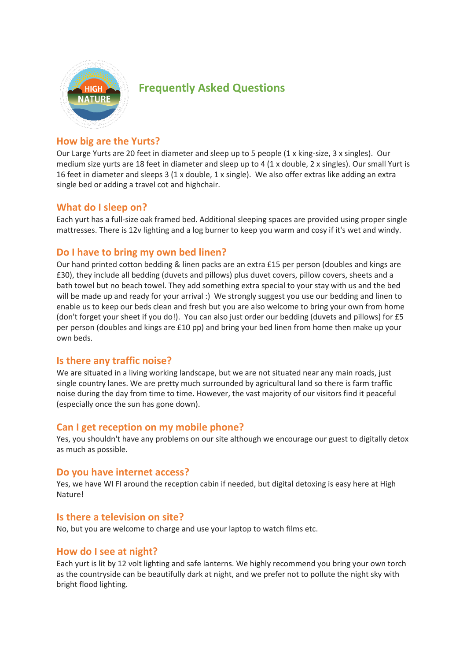

# **Frequently Asked Questions**

# **How big are the Yurts?**

Our Large Yurts are 20 feet in diameter and sleep up to 5 people (1 x king-size, 3 x singles). Our medium size yurts are 18 feet in diameter and sleep up to 4 (1 x double, 2 x singles). Our small Yurt is 16 feet in diameter and sleeps 3 (1 x double, 1 x single). We also offer extras like adding an extra single bed or adding a travel cot and highchair.

### **What do I sleep on?**

Each yurt has a full-size oak framed bed. Additional sleeping spaces are provided using proper single mattresses. There is 12v lighting and a log burner to keep you warm and cosy if it's wet and windy.

# **Do I have to bring my own bed linen?**

Our hand printed cotton bedding & linen packs are an extra £15 per person (doubles and kings are £30), they include all bedding (duvets and pillows) plus duvet covers, pillow covers, sheets and a bath towel but no beach towel. They add something extra special to your stay with us and the bed will be made up and ready for your arrival :) We strongly suggest you use our bedding and linen to enable us to keep our beds clean and fresh but you are also welcome to bring your own from home (don't forget your sheet if you do!). You can also just order our bedding (duvets and pillows) for £5 per person (doubles and kings are £10 pp) and bring your bed linen from home then make up your own beds.

### **Is there any traffic noise?**

We are situated in a living working landscape, but we are not situated near any main roads, just single country lanes. We are pretty much surrounded by agricultural land so there is farm traffic noise during the day from time to time. However, the vast majority of our visitors find it peaceful (especially once the sun has gone down).

# **Can I get reception on my mobile phone?**

Yes, you shouldn't have any problems on our site although we encourage our guest to digitally detox as much as possible.

### **Do you have internet access?**

Yes, we have WI FI around the reception cabin if needed, but digital detoxing is easy here at High Nature!

### **Is there a television on site?**

No, but you are welcome to charge and use your laptop to watch films etc.

#### **How do I see at night?**

Each yurt is lit by 12 volt lighting and safe lanterns. We highly recommend you bring your own torch as the countryside can be beautifully dark at night, and we prefer not to pollute the night sky with bright flood lighting.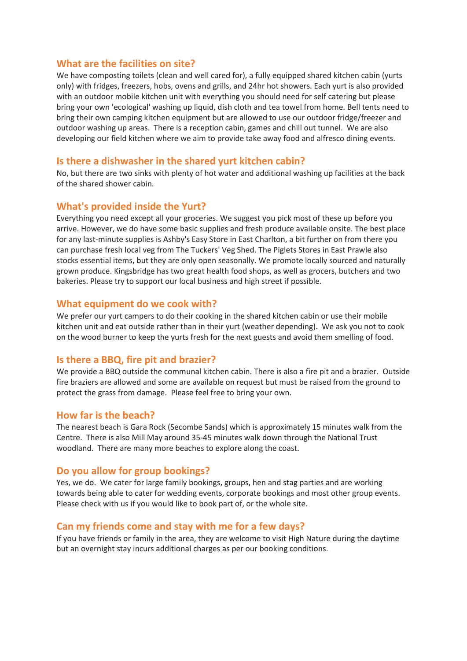#### **What are the facilities on site?**

We have composting toilets (clean and well cared for), a fully equipped shared kitchen cabin (yurts only) with fridges, freezers, hobs, ovens and grills, and 24hr hot showers. Each yurt is also provided with an outdoor mobile kitchen unit with everything you should need for self catering but please bring your own 'ecological' washing up liquid, dish cloth and tea towel from home. Bell tents need to bring their own camping kitchen equipment but are allowed to use our outdoor fridge/freezer and outdoor washing up areas. There is a reception cabin, games and chill out tunnel. We are also developing our field kitchen where we aim to provide take away food and alfresco dining events.

### **Is there a dishwasher in the shared yurt kitchen cabin?**

No, but there are two sinks with plenty of hot water and additional washing up facilities at the back of the shared shower cabin.

#### **What's provided inside the Yurt?**

Everything you need except all your groceries. We suggest you pick most of these up before you arrive. However, we do have some basic supplies and fresh produce available onsite. The best place for any last-minute supplies is Ashby's Easy Store in East Charlton, a bit further on from there you can purchase fresh local veg from The Tuckers' Veg Shed. The Piglets Stores in East Prawle also stocks essential items, but they are only open seasonally. We promote locally sourced and naturally grown produce. Kingsbridge has two great health food shops, as well as grocers, butchers and two bakeries. Please try to support our local business and high street if possible.

#### **What equipment do we cook with?**

We prefer our yurt campers to do their cooking in the shared kitchen cabin or use their mobile kitchen unit and eat outside rather than in their yurt (weather depending). We ask you not to cook on the wood burner to keep the yurts fresh for the next guests and avoid them smelling of food.

#### **Is there a BBQ, fire pit and brazier?**

We provide a BBQ outside the communal kitchen cabin. There is also a fire pit and a brazier. Outside fire braziers are allowed and some are available on request but must be raised from the ground to protect the grass from damage. Please feel free to bring your own.

#### **How far is the beach?**

The nearest beach is Gara Rock (Secombe Sands) which is approximately 15 minutes walk from the Centre. There is also Mill May around 35-45 minutes walk down through the National Trust woodland. There are many more beaches to explore along the coast.

#### **Do you allow for group bookings?**

Yes, we do. We cater for large family bookings, groups, hen and stag parties and are working towards being able to cater for wedding events, corporate bookings and most other group events. Please check with us if you would like to book part of, or the whole site.

#### **Can my friends come and stay with me for a few days?**

If you have friends or family in the area, they are welcome to visit High Nature during the daytime but an overnight stay incurs additional charges as per our booking conditions.